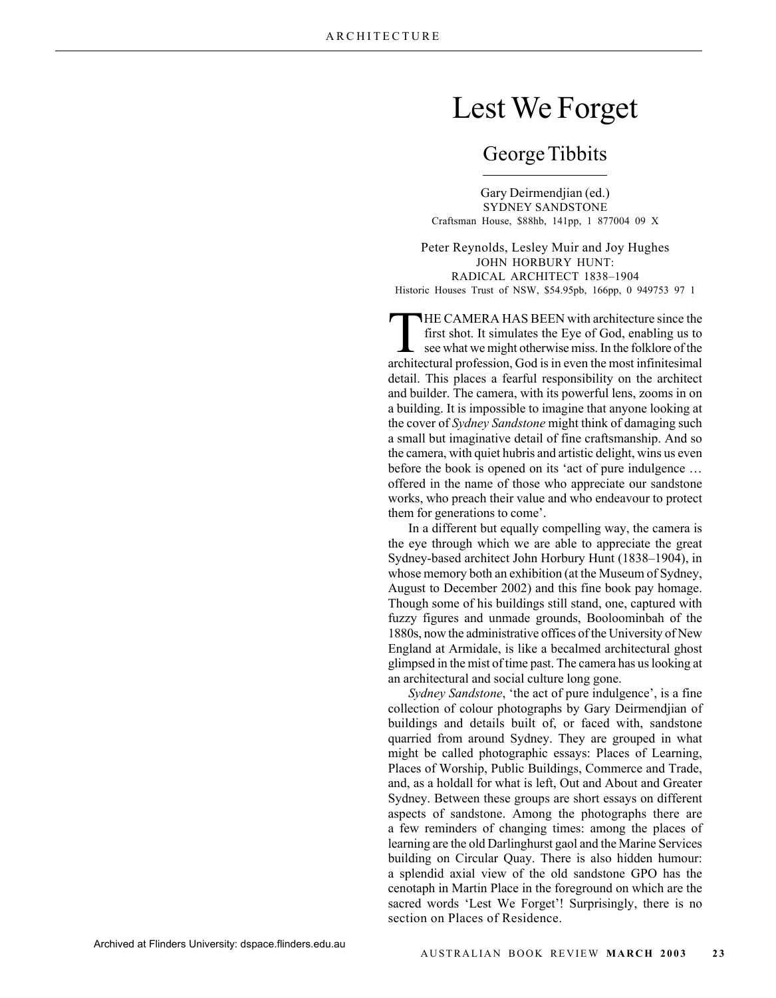## Lest We Forget

## George Tibbits

Gary Deirmendjian (ed.) SYDNEY SANDSTONE Craftsman House, \$88hb, 141pp, 1 877004 09 X

Peter Reynolds, Lesley Muir and Joy Hughes JOHN HORBURY HUNT: RADICAL ARCHITECT 1838–1904 Historic Houses Trust of NSW, \$54.95pb, 166pp, 0 949753 97 1

THE CAMERA HAS BEEN with architecture since the<br>first shot. It simulates the Eye of God, enabling us to<br>see what we might otherwise miss. In the folklore of the<br>prohitectural profession. God is in even the most infinitesim first shot. It simulates the Eye of God, enabling us to architectural profession, God is in even the most infinitesimal detail. This places a fearful responsibility on the architect and builder. The camera, with its powerful lens, zooms in on a building. It is impossible to imagine that anyone looking at the cover of *Sydney Sandstone* might think of damaging such a small but imaginative detail of fine craftsmanship. And so the camera, with quiet hubris and artistic delight, wins us even before the book is opened on its 'act of pure indulgence … offered in the name of those who appreciate our sandstone works, who preach their value and who endeavour to protect them for generations to come'.

In a different but equally compelling way, the camera is the eye through which we are able to appreciate the great Sydney-based architect John Horbury Hunt (1838–1904), in whose memory both an exhibition (at the Museum of Sydney, August to December 2002) and this fine book pay homage. Though some of his buildings still stand, one, captured with fuzzy figures and unmade grounds, Booloominbah of the 1880s, now the administrative offices of the University of New England at Armidale, is like a becalmed architectural ghost glimpsed in the mist of time past. The camera has us looking at an architectural and social culture long gone.

*Sydney Sandstone*, 'the act of pure indulgence', is a fine collection of colour photographs by Gary Deirmendjian of buildings and details built of, or faced with, sandstone quarried from around Sydney. They are grouped in what might be called photographic essays: Places of Learning, Places of Worship, Public Buildings, Commerce and Trade, and, as a holdall for what is left, Out and About and Greater Sydney. Between these groups are short essays on different aspects of sandstone. Among the photographs there are a few reminders of changing times: among the places of learning are the old Darlinghurst gaol and the Marine Services building on Circular Quay. There is also hidden humour: a splendid axial view of the old sandstone GPO has the cenotaph in Martin Place in the foreground on which are the sacred words 'Lest We Forget'! Surprisingly, there is no section on Places of Residence.